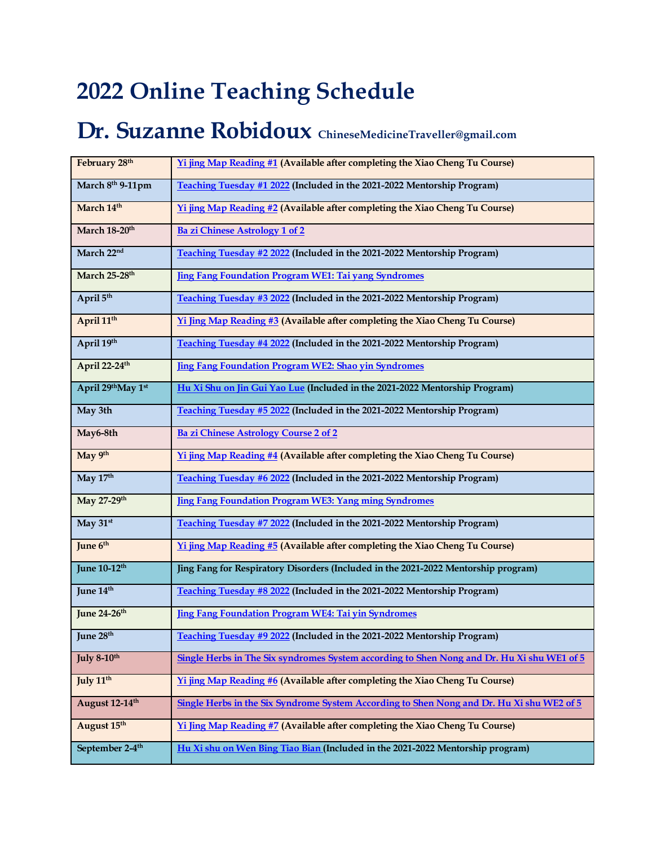## **2022 Online Teaching Schedule**

## **Dr. Suzanne Robidoux ChineseMedicineTraveller@gmail.com**

| February 28th               | Yi jing Map Reading #1 (Available after completing the Xiao Cheng Tu Course)               |
|-----------------------------|--------------------------------------------------------------------------------------------|
| March 8th 9-11pm            | Teaching Tuesday #1 2022 (Included in the 2021-2022 Mentorship Program)                    |
| March 14th                  | Yi jing Map Reading #2 (Available after completing the Xiao Cheng Tu Course)               |
| March 18-20 <sup>th</sup>   | <b>Ba zi Chinese Astrology 1 of 2</b>                                                      |
| March 22nd                  | Teaching Tuesday #2 2022 (Included in the 2021-2022 Mentorship Program)                    |
| March 25-28th               | <b>Jing Fang Foundation Program WE1: Tai yang Syndromes</b>                                |
| April 5th                   | Teaching Tuesday #3 2022 (Included in the 2021-2022 Mentorship Program)                    |
| April 11 <sup>th</sup>      | Yi Jing Map Reading #3 (Available after completing the Xiao Cheng Tu Course)               |
| April 19th                  | Teaching Tuesday #4 2022 (Included in the 2021-2022 Mentorship Program)                    |
| April 22-24th               | <b>Jing Fang Foundation Program WE2: Shao yin Syndromes</b>                                |
| April 29th May 1st          | Hu Xi Shu on Jin Gui Yao Lue (Included in the 2021-2022 Mentorship Program)                |
| May 3th                     | Teaching Tuesday #5 2022 (Included in the 2021-2022 Mentorship Program)                    |
| May6-8th                    | <b>Ba zi Chinese Astrology Course 2 of 2</b>                                               |
| May 9th                     | Yi jing Map Reading #4 (Available after completing the Xiao Cheng Tu Course)               |
| May 17th                    | Teaching Tuesday #6 2022 (Included in the 2021-2022 Mentorship Program)                    |
| May 27-29th                 | <b>Jing Fang Foundation Program WE3: Yang ming Syndromes</b>                               |
| May 31st                    | Teaching Tuesday #7 2022 (Included in the 2021-2022 Mentorship Program)                    |
| June 6th                    | Yi jing Map Reading #5 (Available after completing the Xiao Cheng Tu Course)               |
| June 10-12 <sup>th</sup>    | Jing Fang for Respiratory Disorders (Included in the 2021-2022 Mentorship program)         |
| June 14 <sup>th</sup>       | Teaching Tuesday #8 2022 (Included in the 2021-2022 Mentorship Program)                    |
| June 24-26th                | Jing Fang Foundation Program WE4: Tai yin Syndromes                                        |
| June 28th                   | Teaching Tuesday #9 2022 (Included in the 2021-2022 Mentorship Program)                    |
| July 8-10th                 | Single Herbs in The Six syndromes System according to Shen Nong and Dr. Hu Xi shu WE1 of 5 |
| July 11 <sup>th</sup>       | Yi jing Map Reading #6 (Available after completing the Xiao Cheng Tu Course)               |
| August 12-14th              | Single Herbs in the Six Syndrome System According to Shen Nong and Dr. Hu Xi shu WE2 of 5  |
| August 15th                 | Yi Jing Map Reading #7 (Available after completing the Xiao Cheng Tu Course)               |
| September 2-4 <sup>th</sup> | Hu Xi shu on Wen Bing Tiao Bian (Included in the 2021-2022 Mentorship program)             |